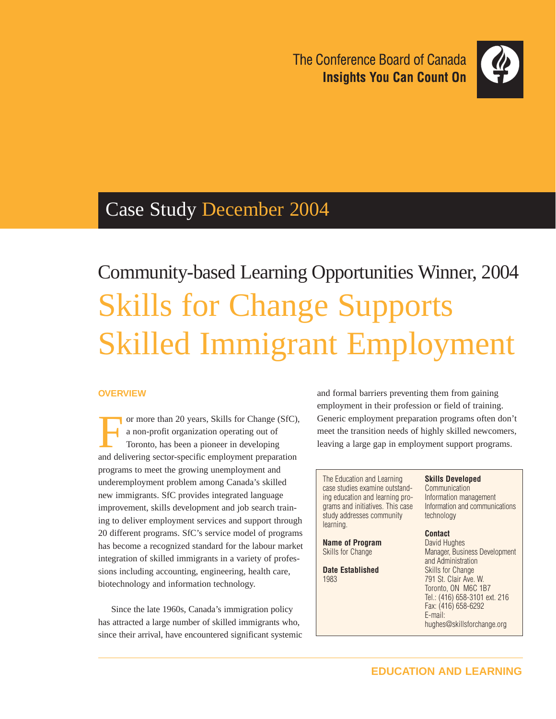The Conference Board of Canada **Insights You Can Count On** 



## Case Study December 2004

# Community-based Learning Opportunities Winner, 2004 Skills for Change Supports Skilled Immigrant Employment

#### **OVERVIEW**

or more than 20 years, Skills for Change (SfC), a non-profit organization operating out of Toronto, has been a pioneer in developing and delivering sector-specific employment preparation programs to meet the growing unemployment and underemployment problem among Canada's skilled new immigrants. SfC provides integrated language improvement, skills development and job search training to deliver employment services and support through 20 different programs. SfC's service model of programs has become a recognized standard for the labour market integration of skilled immigrants in a variety of professions including accounting, engineering, health care, biotechnology and information technology.

Since the late 1960s, Canada's immigration policy has attracted a large number of skilled immigrants who, since their arrival, have encountered significant systemic and formal barriers preventing them from gaining employment in their profession or field of training. Generic employment preparation programs often don't meet the transition needs of highly skilled newcomers, leaving a large gap in employment support programs.

The Education and Learning case studies examine outstanding education and learning programs and initiatives. This case study addresses community learning.

**Name of Program** Skills for Change

**Date Established** 1983

**Skills Developed**

Communication Information management Information and communications technology

#### **Contact**

David Hughes Manager, Business Development and Administration Skills for Change 791 St. Clair Ave. W. Toronto, ON M6C 1B7 Tel.: (416) 658-3101 ext. 216 Fax: (416) 658-6292 E-mail: hughes@skillsforchange.org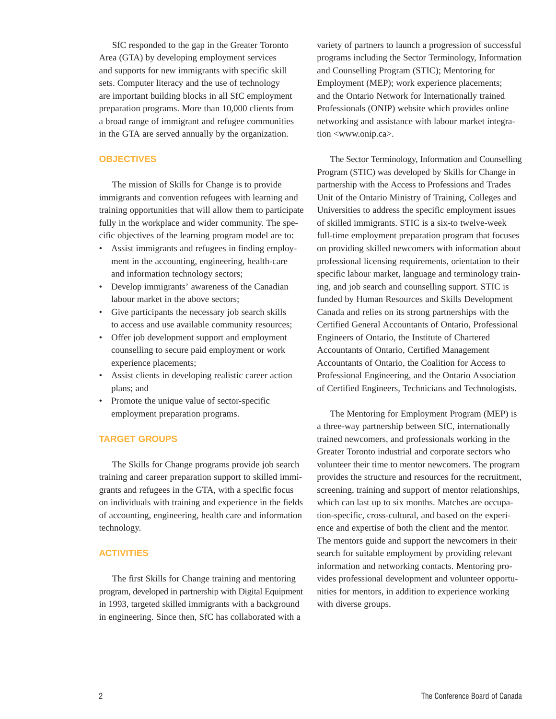SfC responded to the gap in the Greater Toronto Area (GTA) by developing employment services and supports for new immigrants with specific skill sets. Computer literacy and the use of technology are important building blocks in all SfC employment preparation programs. More than 10,000 clients from a broad range of immigrant and refugee communities in the GTA are served annually by the organization.

#### **OBJECTIVES**

The mission of Skills for Change is to provide immigrants and convention refugees with learning and training opportunities that will allow them to participate fully in the workplace and wider community. The specific objectives of the learning program model are to:

- Assist immigrants and refugees in finding employment in the accounting, engineering, health-care and information technology sectors;
- Develop immigrants' awareness of the Canadian labour market in the above sectors;
- Give participants the necessary job search skills to access and use available community resources;
- Offer job development support and employment counselling to secure paid employment or work experience placements;
- Assist clients in developing realistic career action plans; and
- Promote the unique value of sector-specific employment preparation programs.

#### **TARGET GROUPS**

The Skills for Change programs provide job search training and career preparation support to skilled immigrants and refugees in the GTA, with a specific focus on individuals with training and experience in the fields of accounting, engineering, health care and information technology.

#### **ACTIVITIES**

The first Skills for Change training and mentoring program, developed in partnership with Digital Equipment in 1993, targeted skilled immigrants with a background in engineering. Since then, SfC has collaborated with a

variety of partners to launch a progression of successful programs including the Sector Terminology, Information and Counselling Program (STIC); Mentoring for Employment (MEP); work experience placements; and the Ontario Network for Internationally trained Professionals (ONIP) website which provides online networking and assistance with labour market integration <www.onip.ca>.

The Sector Terminology, Information and Counselling Program (STIC) was developed by Skills for Change in partnership with the Access to Professions and Trades Unit of the Ontario Ministry of Training, Colleges and Universities to address the specific employment issues of skilled immigrants. STIC is a six-to twelve-week full-time employment preparation program that focuses on providing skilled newcomers with information about professional licensing requirements, orientation to their specific labour market, language and terminology training, and job search and counselling support. STIC is funded by Human Resources and Skills Development Canada and relies on its strong partnerships with the Certified General Accountants of Ontario, Professional Engineers of Ontario, the Institute of Chartered Accountants of Ontario, Certified Management Accountants of Ontario, the Coalition for Access to Professional Engineering, and the Ontario Association of Certified Engineers, Technicians and Technologists.

The Mentoring for Employment Program (MEP) is a three-way partnership between SfC, internationally trained newcomers, and professionals working in the Greater Toronto industrial and corporate sectors who volunteer their time to mentor newcomers. The program provides the structure and resources for the recruitment, screening, training and support of mentor relationships, which can last up to six months. Matches are occupation-specific, cross-cultural, and based on the experience and expertise of both the client and the mentor. The mentors guide and support the newcomers in their search for suitable employment by providing relevant information and networking contacts. Mentoring provides professional development and volunteer opportunities for mentors, in addition to experience working with diverse groups.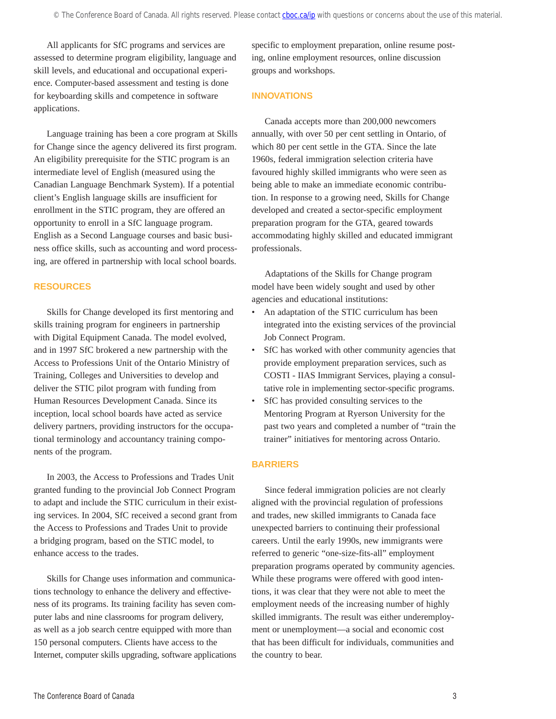All applicants for SfC programs and services are assessed to determine program eligibility, language and skill levels, and educational and occupational experience. Computer-based assessment and testing is done for keyboarding skills and competence in software applications.

Language training has been a core program at Skills for Change since the agency delivered its first program. An eligibility prerequisite for the STIC program is an intermediate level of English (measured using the Canadian Language Benchmark System). If a potential client's English language skills are insufficient for enrollment in the STIC program, they are offered an opportunity to enroll in a SfC language program. English as a Second Language courses and basic business office skills, such as accounting and word processing, are offered in partnership with local school boards.

#### **RESOURCES**

Skills for Change developed its first mentoring and skills training program for engineers in partnership with Digital Equipment Canada. The model evolved, and in 1997 SfC brokered a new partnership with the Access to Professions Unit of the Ontario Ministry of Training, Colleges and Universities to develop and deliver the STIC pilot program with funding from Human Resources Development Canada. Since its inception, local school boards have acted as service delivery partners, providing instructors for the occupational terminology and accountancy training components of the program.

In 2003, the Access to Professions and Trades Unit granted funding to the provincial Job Connect Program to adapt and include the STIC curriculum in their existing services. In 2004, SfC received a second grant from the Access to Professions and Trades Unit to provide a bridging program, based on the STIC model, to enhance access to the trades.

Skills for Change uses information and communications technology to enhance the delivery and effectiveness of its programs. Its training facility has seven computer labs and nine classrooms for program delivery, as well as a job search centre equipped with more than 150 personal computers. Clients have access to the Internet, computer skills upgrading, software applications specific to employment preparation, online resume posting, online employment resources, online discussion groups and workshops.

#### **INNOVATIONS**

Canada accepts more than 200,000 newcomers annually, with over 50 per cent settling in Ontario, of which 80 per cent settle in the GTA. Since the late 1960s, federal immigration selection criteria have favoured highly skilled immigrants who were seen as being able to make an immediate economic contribution. In response to a growing need, Skills for Change developed and created a sector-specific employment preparation program for the GTA, geared towards accommodating highly skilled and educated immigrant professionals.

Adaptations of the Skills for Change program model have been widely sought and used by other agencies and educational institutions:

- An adaptation of the STIC curriculum has been integrated into the existing services of the provincial Job Connect Program.
- SfC has worked with other community agencies that provide employment preparation services, such as COSTI - IIAS Immigrant Services, playing a consultative role in implementing sector-specific programs.
- SfC has provided consulting services to the Mentoring Program at Ryerson University for the past two years and completed a number of "train the trainer" initiatives for mentoring across Ontario.

#### **BARRIERS**

Since federal immigration policies are not clearly aligned with the provincial regulation of professions and trades, new skilled immigrants to Canada face unexpected barriers to continuing their professional careers. Until the early 1990s, new immigrants were referred to generic "one-size-fits-all" employment preparation programs operated by community agencies. While these programs were offered with good intentions, it was clear that they were not able to meet the employment needs of the increasing number of highly skilled immigrants. The result was either underemployment or unemployment—a social and economic cost that has been difficult for individuals, communities and the country to bear.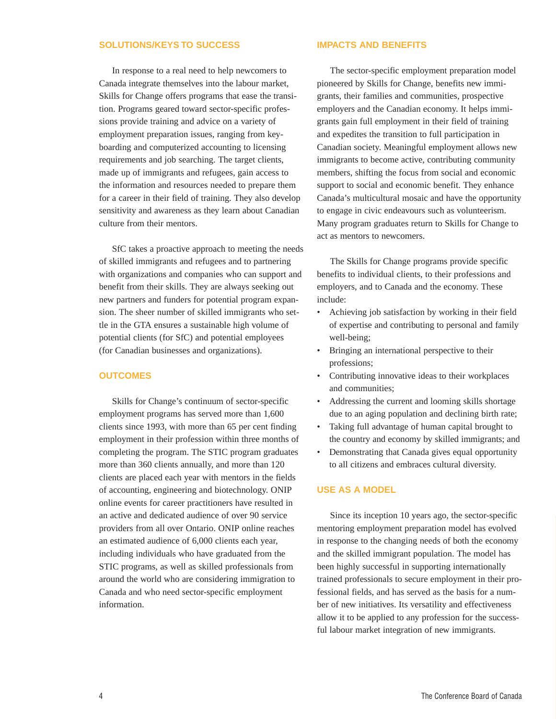#### **SOLUTIONS/KEYS TO SUCCESS**

In response to a real need to help newcomers to Canada integrate themselves into the labour market, Skills for Change offers programs that ease the transition. Programs geared toward sector-specific professions provide training and advice on a variety of employment preparation issues, ranging from keyboarding and computerized accounting to licensing requirements and job searching. The target clients, made up of immigrants and refugees, gain access to the information and resources needed to prepare them for a career in their field of training. They also develop sensitivity and awareness as they learn about Canadian culture from their mentors.

SfC takes a proactive approach to meeting the needs of skilled immigrants and refugees and to partnering with organizations and companies who can support and benefit from their skills. They are always seeking out new partners and funders for potential program expansion. The sheer number of skilled immigrants who settle in the GTA ensures a sustainable high volume of potential clients (for SfC) and potential employees (for Canadian businesses and organizations).

#### **OUTCOMES**

Skills for Change's continuum of sector-specific employment programs has served more than 1,600 clients since 1993, with more than 65 per cent finding employment in their profession within three months of completing the program. The STIC program graduates more than 360 clients annually, and more than 120 clients are placed each year with mentors in the fields of accounting, engineering and biotechnology. ONIP online events for career practitioners have resulted in an active and dedicated audience of over 90 service providers from all over Ontario. ONIP online reaches an estimated audience of 6,000 clients each year, including individuals who have graduated from the STIC programs, as well as skilled professionals from around the world who are considering immigration to Canada and who need sector-specific employment information.

#### **IMPACTS AND BENEFITS**

The sector-specific employment preparation model pioneered by Skills for Change, benefits new immigrants, their families and communities, prospective employers and the Canadian economy. It helps immigrants gain full employment in their field of training and expedites the transition to full participation in Canadian society. Meaningful employment allows new immigrants to become active, contributing community members, shifting the focus from social and economic support to social and economic benefit. They enhance Canada's multicultural mosaic and have the opportunity to engage in civic endeavours such as volunteerism. Many program graduates return to Skills for Change to act as mentors to newcomers.

The Skills for Change programs provide specific benefits to individual clients, to their professions and employers, and to Canada and the economy. These include:

- Achieving job satisfaction by working in their field of expertise and contributing to personal and family well-being;
- Bringing an international perspective to their professions;
- Contributing innovative ideas to their workplaces and communities;
- Addressing the current and looming skills shortage due to an aging population and declining birth rate;
- Taking full advantage of human capital brought to the country and economy by skilled immigrants; and
- Demonstrating that Canada gives equal opportunity to all citizens and embraces cultural diversity.

#### **USE AS A MODEL**

Since its inception 10 years ago, the sector-specific mentoring employment preparation model has evolved in response to the changing needs of both the economy and the skilled immigrant population. The model has been highly successful in supporting internationally trained professionals to secure employment in their professional fields, and has served as the basis for a number of new initiatives. Its versatility and effectiveness allow it to be applied to any profession for the successful labour market integration of new immigrants.